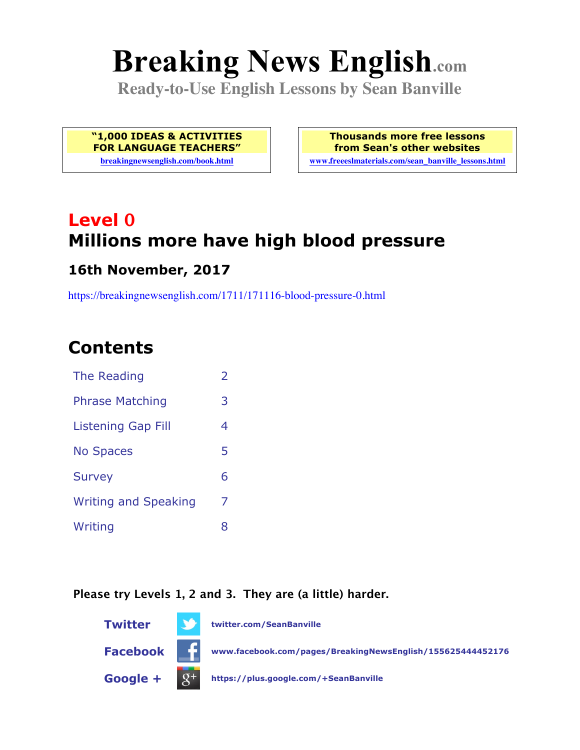# **Breaking News English.com**

**Ready-to-Use English Lessons by Sean Banville**

**"1,000 IDEAS & ACTIVITIES FOR LANGUAGE TEACHERS"**

**breakingnewsenglish.com/book.html**

**Thousands more free lessons from Sean's other websites www.freeeslmaterials.com/sean\_banville\_lessons.html**

# **Level 0 Millions more have high blood pressure**

#### **16th November, 2017**

https://breakingnewsenglish.com/1711/171116-blood-pressure-0.html

# **Contents**

| The Reading                 | $\mathcal{P}$ |
|-----------------------------|---------------|
| <b>Phrase Matching</b>      | 3             |
| Listening Gap Fill          | 4             |
| <b>No Spaces</b>            | 5             |
| <b>Survey</b>               | 6             |
| <b>Writing and Speaking</b> | 7             |
| Writing                     | 8             |
|                             |               |

#### **Please try Levels 1, 2 and 3. They are (a little) harder.**

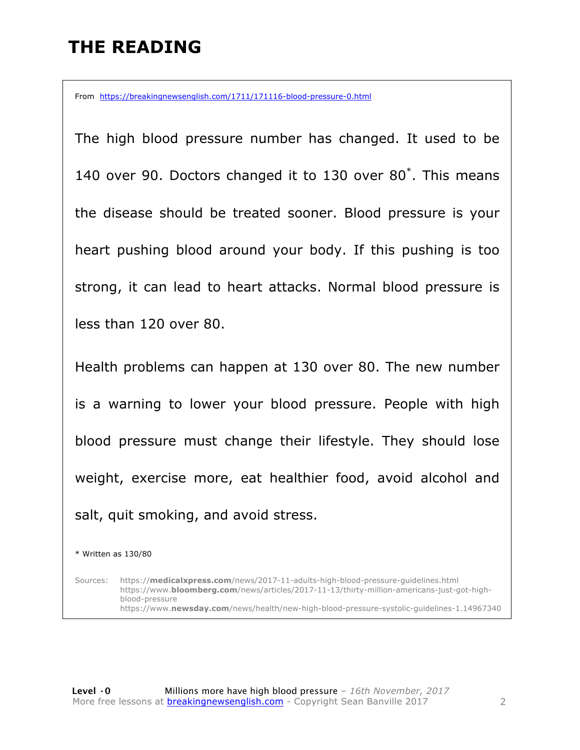### **THE READING**

From https://breakingnewsenglish.com/1711/171116-blood-pressure-0.html

The high blood pressure number has changed. It used to be 140 over 90. Doctors changed it to 130 over 80\* . This means the disease should be treated sooner. Blood pressure is your heart pushing blood around your body. If this pushing is too strong, it can lead to heart attacks. Normal blood pressure is less than 120 over 80.

Health problems can happen at 130 over 80. The new number is a warning to lower your blood pressure. People with high blood pressure must change their lifestyle. They should lose weight, exercise more, eat healthier food, avoid alcohol and salt, quit smoking, and avoid stress.

\* Written as 130/80

Sources: https://**medicalxpress.com**/news/2017-11-adults-high-blood-pressure-guidelines.html https://www.**bloomberg.com**/news/articles/2017-11-13/thirty-million-americans-just-got-highblood-pressure https://www.**newsday.com**/news/health/new-high-blood-pressure-systolic-guidelines-1.14967340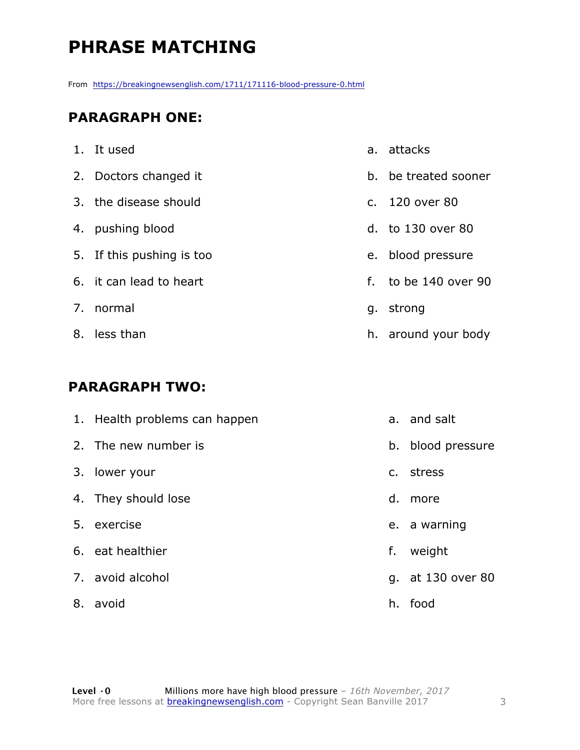# **PHRASE MATCHING**

From https://breakingnewsenglish.com/1711/171116-blood-pressure-0.html

#### **PARAGRAPH ONE:**

| 1. It used                |                | a. attacks           |
|---------------------------|----------------|----------------------|
| 2. Doctors changed it     |                | b. be treated sooner |
| 3. the disease should     | C <sub>1</sub> | 120 over 80          |
| 4. pushing blood          |                | d. to 130 over 80    |
| 5. If this pushing is too |                | e. blood pressure    |
| 6. it can lead to heart   | f.             | to be 140 over 90    |
| 7. normal                 |                | g. strong            |
| 8. less than              |                | h. around your body  |

#### **PARAGRAPH TWO:**

| 1. Health problems can happen |    | a. and salt       |
|-------------------------------|----|-------------------|
| 2. The new number is          |    | b. blood pressure |
| 3. lower your                 |    | c. stress         |
| 4. They should lose           | d. | more              |
| 5. exercise                   |    | e. a warning      |
| 6. eat healthier              | f. | weight            |
| 7. avoid alcohol              |    | g. at 130 over 80 |
| 8. avoid                      |    | h. food           |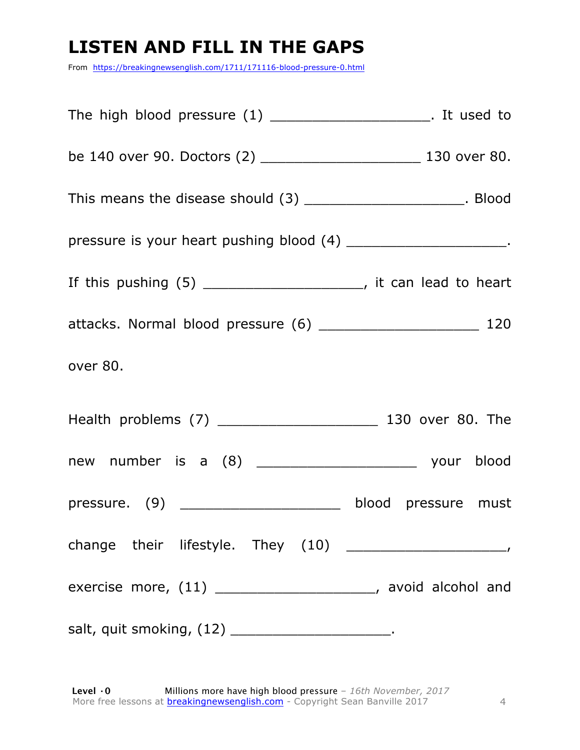# **LISTEN AND FILL IN THE GAPS**

From https://breakingnewsenglish.com/1711/171116-blood-pressure-0.html

| The high blood pressure $(1)$ ________________________. It used to    |  |
|-----------------------------------------------------------------------|--|
| be 140 over 90. Doctors (2) ____________________________ 130 over 80. |  |
| This means the disease should (3) _______________________. Blood      |  |
| pressure is your heart pushing blood (4) ________________________.    |  |
| If this pushing $(5)$ _______________________, it can lead to heart   |  |
|                                                                       |  |
| over 80.                                                              |  |
|                                                                       |  |
|                                                                       |  |
| pressure. (9) _________________________ blood pressure must           |  |
|                                                                       |  |
| exercise more, (11) ______________________, avoid alcohol and         |  |
| salt, quit smoking, (12) ____________________________.                |  |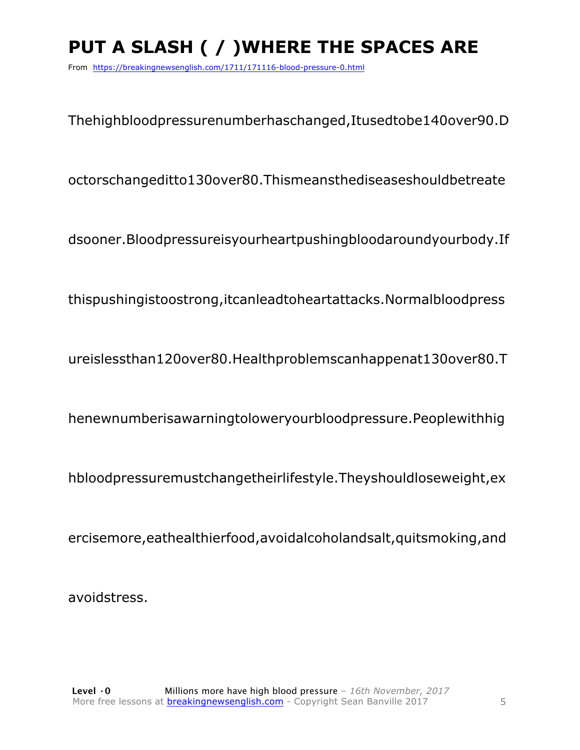# **PUT A SLASH ( / )WHERE THE SPACES ARE**

From https://breakingnewsenglish.com/1711/171116-blood-pressure-0.html

Thehighbloodpressurenumberhaschanged,Itusedtobe140over90.D

octorschangeditto130over80.Thismeansthediseaseshouldbetreate

dsooner.Bloodpressureisyourheartpushingbloodaroundyourbody.If

thispushingistoostrong,itcanleadtoheartattacks.Normalbloodpress

ureislessthan120over80.Healthproblemscanhappenat130over80.T

henewnumberisawarningtoloweryourbloodpressure.Peoplewithhig

hbloodpressuremustchangetheirlifestyle.Theyshouldloseweight,ex

ercisemore,eathealthierfood,avoidalcoholandsalt,quitsmoking,and

avoidstress.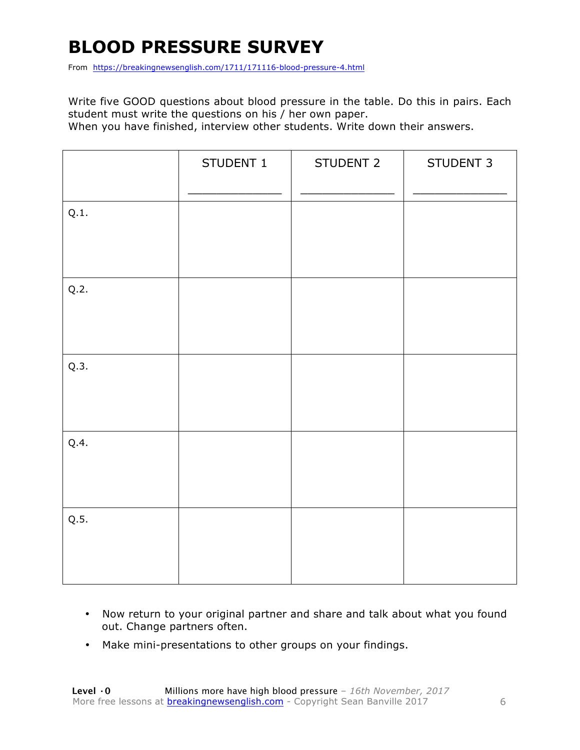# **BLOOD PRESSURE SURVEY**

From https://breakingnewsenglish.com/1711/171116-blood-pressure-4.html

Write five GOOD questions about blood pressure in the table. Do this in pairs. Each student must write the questions on his / her own paper.

When you have finished, interview other students. Write down their answers.

|      | STUDENT 1 | STUDENT 2 | STUDENT 3 |
|------|-----------|-----------|-----------|
| Q.1. |           |           |           |
| Q.2. |           |           |           |
| Q.3. |           |           |           |
| Q.4. |           |           |           |
| Q.5. |           |           |           |

- Now return to your original partner and share and talk about what you found out. Change partners often.
- Make mini-presentations to other groups on your findings.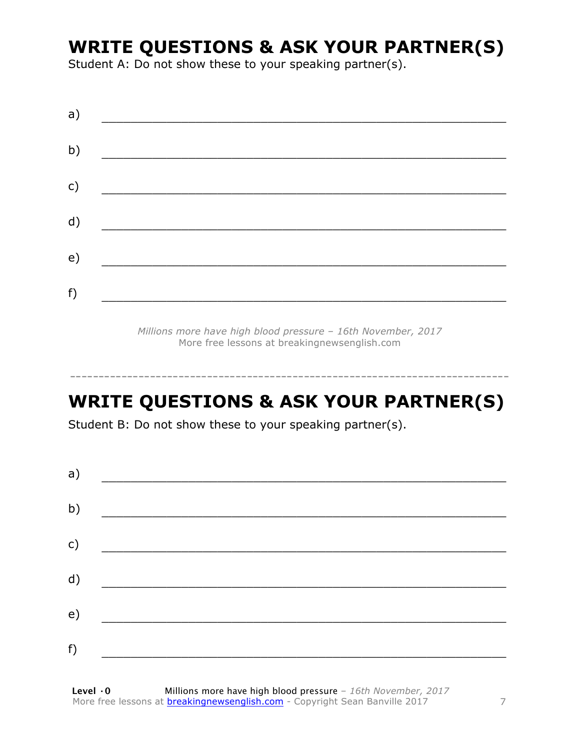### **WRITE QUESTIONS & ASK YOUR PARTNER(S)**

Student A: Do not show these to your speaking partner(s).

| a) |  |  |
|----|--|--|
| b) |  |  |
| c) |  |  |
| d) |  |  |
| e) |  |  |
| f) |  |  |
|    |  |  |

*Millions more have high blood pressure – 16th November, 2017* More free lessons at breakingnewsenglish.com

# **WRITE QUESTIONS & ASK YOUR PARTNER(S)**

-----------------------------------------------------------------------------

Student B: Do not show these to your speaking partner(s).

| a)            |  |  |
|---------------|--|--|
| b)            |  |  |
| $\mathsf{c})$ |  |  |
| d)            |  |  |
| e)            |  |  |
| f)            |  |  |